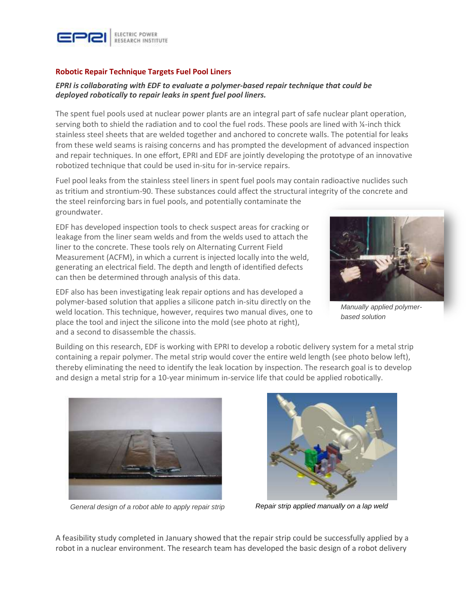

## **Robotic Repair Technique Targets Fuel Pool Liners**

## *EPRI is collaborating with EDF to evaluate a polymer-based repair technique that could be deployed robotically to repair leaks in spent fuel pool liners.*

The spent fuel pools used at nuclear power plants are an integral part of safe nuclear plant operation, serving both to shield the radiation and to cool the fuel rods. These pools are lined with ¼-inch thick stainless steel sheets that are welded together and anchored to concrete walls. The potential for leaks from these weld seams is raising concerns and has prompted the development of advanced inspection and repair techniques. In one effort, EPRI and EDF are jointly developing the prototype of an innovative robotized technique that could be used in-situ for in-service repairs.

Fuel pool leaks from the stainless steel liners in spent fuel pools may contain radioactive nuclides such as tritium and strontium-90. These substances could affect the structural integrity of the concrete and the steel reinforcing bars in fuel pools, and potentially contaminate the groundwater.

EDF has developed inspection tools to check suspect areas for cracking or leakage from the liner seam welds and from the welds used to attach the liner to the concrete. These tools rely on Alternating Current Field Measurement (ACFM), in which a current is injected locally into the weld, generating an electrical field. The depth and length of identified defects can then be determined through analysis of this data.

EDF also has been investigating leak repair options and has developed a polymer-based solution that applies a silicone patch in-situ directly on the weld location. This technique, however, requires two manual dives, one to place the tool and inject the silicone into the mold (see photo at right), and a second to disassemble the chassis.



*Manually applied polymerbased solution*

Building on this research, EDF is working with EPRI to develop a robotic delivery system for a metal strip containing a repair polymer. The metal strip would cover the entire weld length (see photo below left), thereby eliminating the need to identify the leak location by inspection. The research goal is to develop and design a metal strip for a 10-year minimum in-service life that could be applied robotically.



*General design of a robot able to apply repair strip*



*Repair strip applied manually on a lap weld*

A feasibility study completed in January showed that the repair strip could be successfully applied by a robot in a nuclear environment. The research team has developed the basic design of a robot delivery